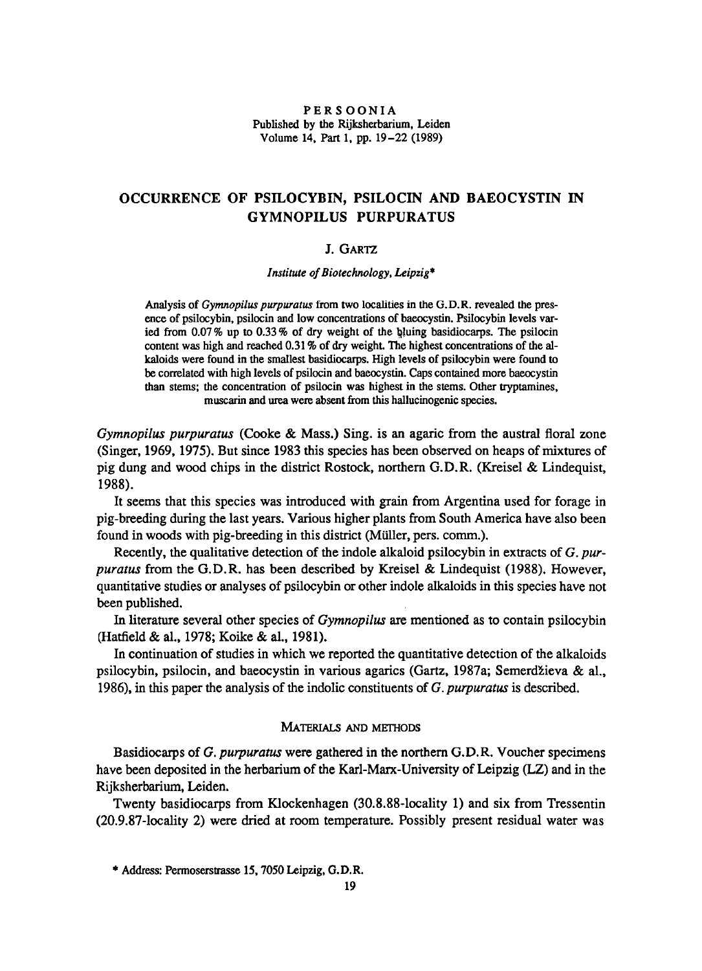## PERSOONIA Published by the Rijksherbarium, Leiden Volume 14, Part 1, pp. 19-22 (1989)

# Occurrence of psilocybin, psilocin and baeocystin in Gymnopilus purpuratus

# J. Gartz

Institute of Biotechnology, Leipzig\*

Analysis of *Gymnopilus purpuratus* from two localities in the G.D.R. revealed the presence of psilocybin, psilocin and low concentrations of baeocystin. Psilocybin levels varied from 0.07 % up to 0.33 % of dry weight of the bluing basidiocarps. The psilocin content was high and reached 0.31 % of dry weight. The highest concentrations of the alkaloids were found in the smallest basidiocarps. High levels of psilocybin were found to be correlated with high levels of psilocin and baeocystin. Caps contained more baeocystin than stems; the concentration of psilocin was highest in the stems. Other tryptamines, muscarin and urea were absent from this hallucinogenic species.

Gymnopilus purpuratus (Cooke & Mass.) Sing, is an agaric from the austral floral zone (Singer, 1969, 1975). But since 1983 this species has been observed on heaps of mixtures of pig dung and wood chips in the district Rostock, northern G.D.R. (Kreisel & Lindequist, 1988).

It seems that this species was introduced with grain from Argentina used for forage in pig-breeding during the last years. Various higher plants from SouthAmerica have also been found in woods with pig-breeding in this district (Müller, pers. comm.).

Recently, the qualitative detection of the indole alkaloid psilocybin in extracts of  $G$ . purpuratus from the G.D.R. has been described by Kreisel & Lindequist (1988). However, quantitative studies or analyses of psilocybin or other indole alkaloids in this species have not been published.

In literature several other species of *Gymnopilus* are mentioned as to contain psilocybin (Hatfield & al., 1978; Koike & al., 1981).

In continuation of studies in which we reported the quantitative detection of the alkaloids psilocybin, psilocin, and baeocystin in various agarics (Gartz, 1987a; Semerdzieva & al., 1986), in this paper the analysis of the indolic constituents of G. purpuratus is described.

# MATERIALS AND METHODS

Basidiocarps of G. purpuratus were gathered in the northern G.D.R. Voucher specimens have been deposited in the herbarium of the Karl-Marx-University of Leipzig (LZ) and in the Rijksherbarium, Leiden.

Twenty basidiocarps from Klockenhagen (30.8.88-locality 1) and six from Tressentin (20.9.87-locality 2) were dried at room temperature. Possibly present residual water was

<sup>\*</sup> Address: Permoserstrasse 15, 7050 Leipzig, G.D.R.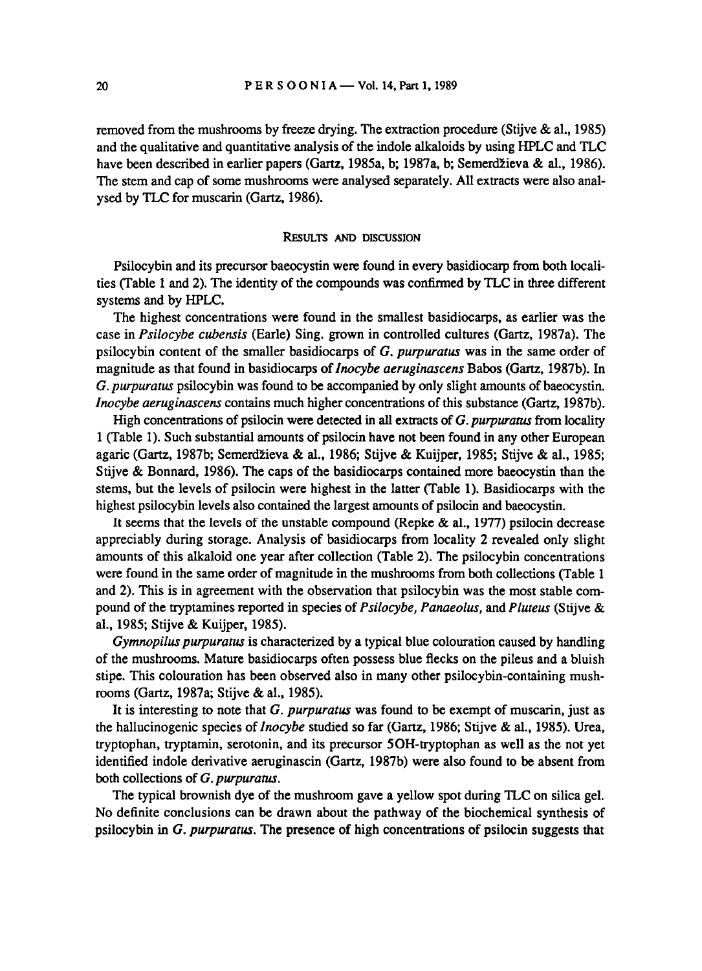removed from the mushrooms by freeze drying. The extraction procedure (Stijve & al., 1985) and the qualitative and quantitative analysis of the indole alkaloids by using HPLC and TLC have been described in earlier papers (Gartz, 1985a, b; 1987a, b; Semerdzieva& al., 1986). The stem and cap of some mushrooms were analysed separately. All extracts were also analysed by TLC for muscarin (Gartz, 1986).

#### RESULTS AND DISCUSSION

Psilocybin and its precursor baeocystin were found in every basidiocarp from both localities (Table <sup>1</sup> and 2). The identity of the compounds was confirmedby TLC in three different systems and by HPLC.

The highest concentrations were found in the smallest basidiocarps, as earlier was the case in Psilocybe cubensis (Earle) Sing, grown in controlled cultures (Gartz, 1987a). The psilocybin content of the smaller basidiocarps of  $G$ . *purpuratus* was in the same order of magnitude as that found in basidiocarps of *Inocybe aeruginascens* Babos (Gartz, 1987b). In G. purpuratus psilocybin was found to be accompanied by only slight amounts of baeocystin. Inocybe aeruginascens contains much higher concentrationsofthis substance (Gartz, 1987b).

High concentrations of psilocin were detected in all extracts of  $G$ . purpuratus from locality <sup>1</sup> (Table 1). Such substantial amounts of psilocin have not been found in any other European agaric (Gartz, 1987b; Semerdzieva& al., 1986; Stijve & Kuijper, 1985; Stijve & al., 1985; Stijve & Bonnard, 1986). The caps of the basidiocarps contained more baeocystin than the stems, but the levels of psilocin were highest in the latter (Table 1). Basidiocarps with the highest psilocybin levels also contained the largest amounts of psilocin and baeocystin.

It seems that the levels of the unstable compound (Repke  $\&$  al., 1977) psilocin decrease appreciably during storage. Analysis of basidiocarps from locality 2 revealed only slight amounts of this alkaloid one year after collection (Table 2). The psilocybin concentrations were found in the same order of magnitude in the mushrooms from both collections (Table 1) and 2). This is in agreement with the observation that psilocybin was the most stable compound of the tryptamines reported in species of Psilocybe, Panaeolus, and Pluteus (Stijve & al., 1985; Stijve & Kuijper, 1985).

Gymnopilus purpuratus is characterized by a typical blue colouration caused by handling of the mushrooms. Mature basidiocarps often possess blue flecks on the pileus and <sup>a</sup> bluish stipe. This colouration has been observed also in many other psilocybin-containing mushrooms (Gartz, 1987a; Stijve & al., 1985).

It is interesting to note that G. *purpuratus* was found to be exempt of muscarin, just as the hallucinogenic species of Inocybe studied so far (Gartz, 1986; Stijve & al., 1985). Urea, tryptophan, tryptamin, serotonin, and its precursor 5OH-tryptophan as well as the not yet identified indole derivative aeruginascin (Gartz, 1987b) were also found to be absent from both collections of G. purpuratus.

The typical brownish dye of the mushroomgave <sup>a</sup> yellow spot during TLC on silica gel. No definite conclusions can be drawn about the pathway of the biochemical synthesis of psilocybin in G. purpuratus. The presence of high concentrations of psilocin suggests that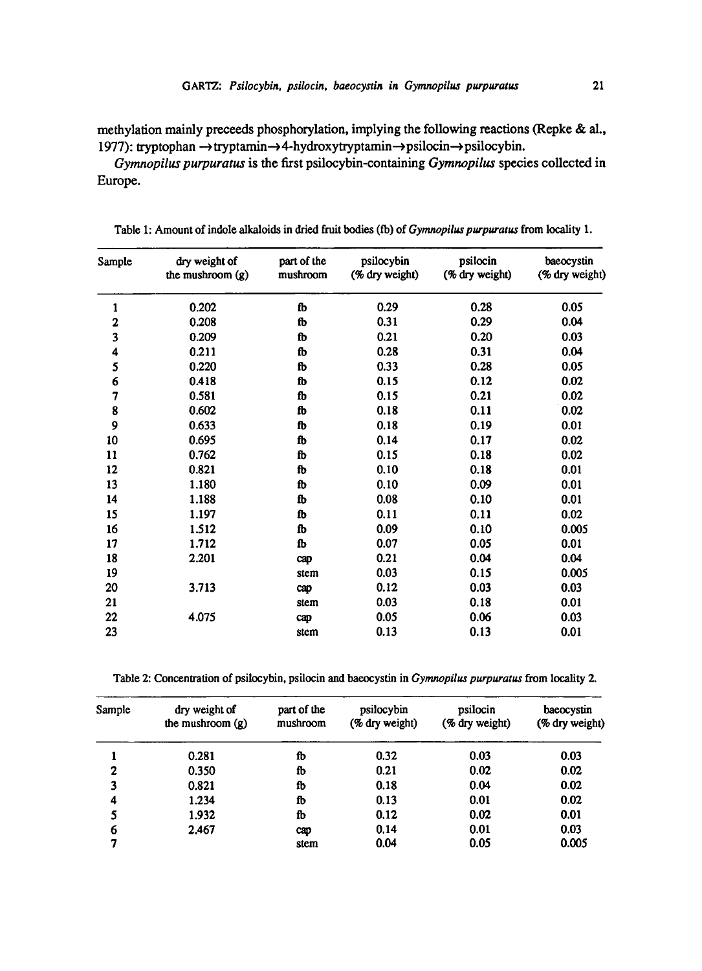methylation mainly preceeds phosphorylation, implying the following reactions (Repke & al., 1977): tryptophan → tryptamin→4-hydroxytryptamin→psilocin→psilocybin.

Gymnopilus purpuratus is the first psilocybin-containing Gymnopilus species collectedin Europe.

| Sample | dry weight of<br>the mushroom $(g)$ | part of the<br>mushroom | psilocybin<br>(% dry weight) | psilocin<br>(% dry weight) | baeocystin<br>(% dry weight) |
|--------|-------------------------------------|-------------------------|------------------------------|----------------------------|------------------------------|
| 1      | 0.202                               | fb                      | 0.29                         | 0.28                       | 0.05                         |
| 2      | 0.208                               | fb                      | 0.31                         | 0.29                       | 0.04                         |
| 3      | 0.209                               | fb                      | 0.21                         | 0.20                       | 0.03                         |
| 4      | 0.211                               | fb                      | 0.28                         | 0.31                       | 0.04                         |
| 5      | 0.220                               | fb                      | 0.33                         | 0.28                       | 0.05                         |
| 6      | 0.418                               | fb                      | 0.15                         | 0.12                       | 0.02                         |
| 7      | 0.581                               | fb                      | 0.15                         | 0.21                       | 0.02                         |
| 8      | 0.602                               | fb                      | 0.18                         | 0.11                       | 0.02                         |
| 9      | 0.633                               | fb                      | 0.18                         | 0.19                       | 0.01                         |
| 10     | 0.695                               | ſb                      | 0.14                         | 0.17                       | 0.02                         |
| 11     | 0.762                               | fb                      | 0.15                         | 0.18                       | 0.02                         |
| 12     | 0.821                               | fb                      | 0.10                         | 0.18                       | 0.01                         |
| 13     | 1.180                               | fb                      | 0.10                         | 0.09                       | 0.01                         |
| 14     | 1.188                               | ſb                      | 0.08                         | 0.10                       | 0.01                         |
| 15     | 1.197                               | fb                      | 0.11                         | 0.11                       | 0.02                         |
| 16     | 1.512                               | ſb                      | 0.09                         | 0.10                       | 0.005                        |
| 17     | 1.712                               | fb                      | 0.07                         | 0.05                       | 0.01                         |
| 18     | 2.201                               | cap                     | 0.21                         | 0.04                       | 0.04                         |
| 19     |                                     | stem                    | 0.03                         | 0.15                       | 0.005                        |
| 20     | 3.713                               | cap                     | 0.12                         | 0.03                       | 0.03                         |
| 21     |                                     | stem                    | 0.03                         | 0.18                       | 0.01                         |
| 22     | 4.075                               | cap                     | 0.05                         | 0.06                       | 0.03                         |
| 23     |                                     | stem                    | 0.13                         | 0.13                       | 0.01                         |

Table 1: Amount of indole alkaloids in dried fruit bodies (fb) of Gymnopilus purpuratus from locality 1.

Table 2: Concentration of psilocybin, psilocin and baeocystin in Gymnopilus purpuratus from locality 2.

| Sample | dry weight of      | part of the | psilocybin     | psilocin       | baeocystin     |
|--------|--------------------|-------------|----------------|----------------|----------------|
|        | the mushroom $(g)$ | mushroom    | (% dry weight) | (% dry weight) | (% dry weight) |
|        | 0.281              | fb          | 0.32           | 0.03           | 0.03           |
| 2      | 0.350              | fb          | 0.21           | 0.02           | 0.02           |
| 3      | 0.821              | fb          | 0.18           | 0.04           | 0.02           |
| 4      | 1.234              | fb          | 0.13           | 0.01           | 0.02           |
| 5      | 1.932              | fb          | 0.12           | 0.02           | 0.01           |
| 6      | 2.467              | cap         | 0.14           | 0.01           | 0.03           |
| 7      |                    | stem        | 0.04           | 0.05           | 0.005          |